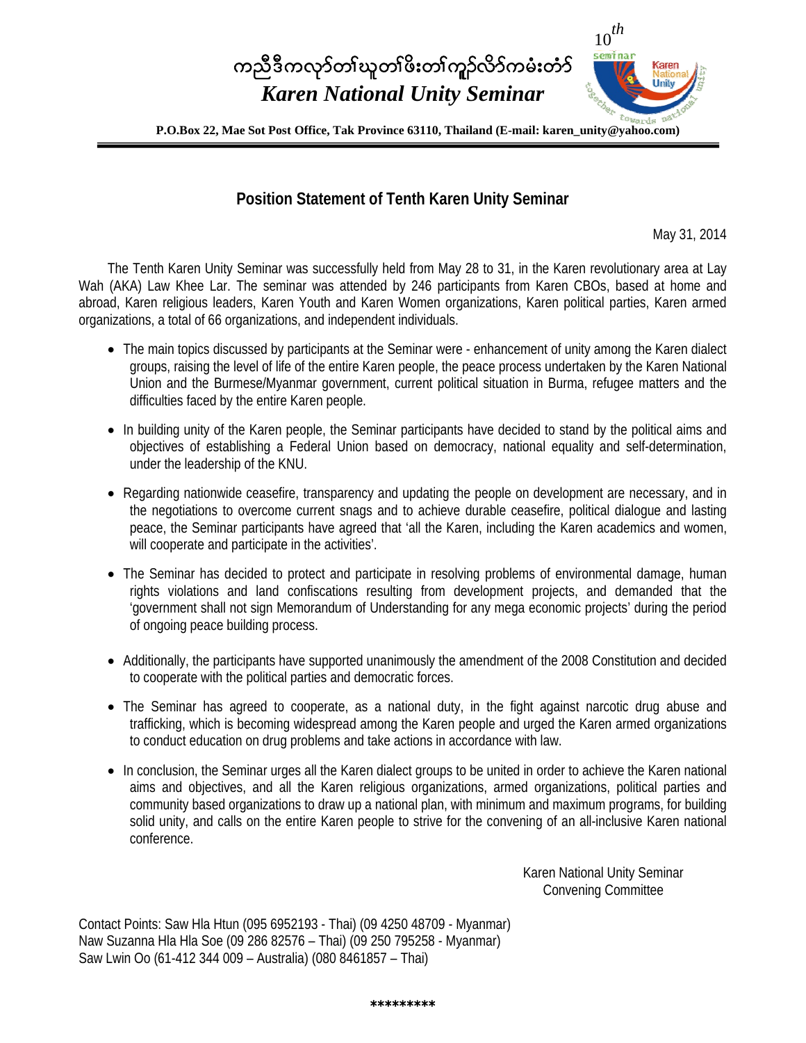# <sup>10</sup>*th* ကညီဒီကလုာ်တၢ်ဃူတၢိဖိးတၢ်ကူဉ်လိာ်ကမံးတံာ် *Karen National Unity Seminar*



#### **Position Statement of Tenth Karen Unity Seminar**

May 31, 2014

The Tenth Karen Unity Seminar was successfully held from May 28 to 31, in the Karen revolutionary area at Lay Wah (AKA) Law Khee Lar. The seminar was attended by 246 participants from Karen CBOs, based at home and abroad, Karen religious leaders, Karen Youth and Karen Women organizations, Karen political parties, Karen armed organizations, a total of 66 organizations, and independent individuals.

- The main topics discussed by participants at the Seminar were enhancement of unity among the Karen dialect groups, raising the level of life of the entire Karen people, the peace process undertaken by the Karen National Union and the Burmese/Myanmar government, current political situation in Burma, refugee matters and the difficulties faced by the entire Karen people.
- In building unity of the Karen people, the Seminar participants have decided to stand by the political aims and objectives of establishing a Federal Union based on democracy, national equality and self-determination, under the leadership of the KNU.
- Regarding nationwide ceasefire, transparency and updating the people on development are necessary, and in the negotiations to overcome current snags and to achieve durable ceasefire, political dialogue and lasting peace, the Seminar participants have agreed that 'all the Karen, including the Karen academics and women, will cooperate and participate in the activities'.
- The Seminar has decided to protect and participate in resolving problems of environmental damage, human rights violations and land confiscations resulting from development projects, and demanded that the 'government shall not sign Memorandum of Understanding for any mega economic projects' during the period of ongoing peace building process.
- Additionally, the participants have supported unanimously the amendment of the 2008 Constitution and decided to cooperate with the political parties and democratic forces.
- The Seminar has agreed to cooperate, as a national duty, in the fight against narcotic drug abuse and trafficking, which is becoming widespread among the Karen people and urged the Karen armed organizations to conduct education on drug problems and take actions in accordance with law.
- In conclusion, the Seminar urges all the Karen dialect groups to be united in order to achieve the Karen national aims and objectives, and all the Karen religious organizations, armed organizations, political parties and community based organizations to draw up a national plan, with minimum and maximum programs, for building solid unity, and calls on the entire Karen people to strive for the convening of an all-inclusive Karen national conference.

Karen National Unity Seminar Convening Committee

Contact Points: Saw Hla Htun (095 6952193 - Thai) (09 4250 48709 - Myanmar) Naw Suzanna Hla Hla Soe (09 286 82576 – Thai) (09 250 795258 - Myanmar) Saw Lwin Oo (61-412 344 009 – Australia) (080 8461857 – Thai)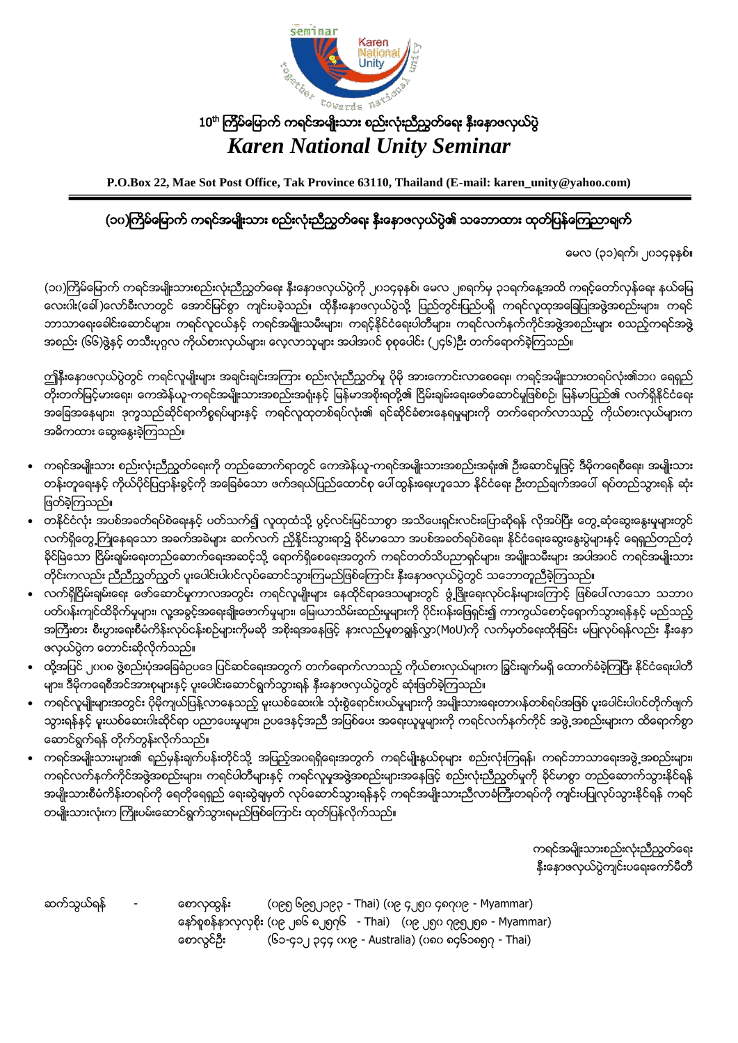

### $10^{\rm th}$  ကြိမ်မြောက် ကရင်အမျိုးသား စည်းလုံးညီညွှတ်ရေး နှီးနောဖလှယ်ပွဲ *Karen National Unity Seminar*

**P.O.Box 22, Mae Sot Post Office, Tak Province 63110, Thailand (E-mail: karen\_unity@yahoo.com)**

#### (၁၀)ကြိမ်မြောက် ကရင်အမျိုးသား စည်းလုံးညီညွတ်ရေး နီးနောဖလှယ်ပွဲ၏ သဘောထား ထုတ်ပြန်ကြေညာချက်

ေမလ (၃၁)ရက္၊ ၂၀၁၄ခုႏွစ္။

(၁၀)ကြိမ်မြောက် ကရင်အမျိုးသားစည်းလုံးညီညွတ်ရေး နှီးနှောဖလှယ်ပွဲကို ၂၀၁၄ခုနှစ်၊ မေလ ၂၈ရက်မှ ၃၁ရက်နေ့အထိ ကရင့်တော်လှန်ရေး နယ်မြေ လေးဂါး(ခေါ် )လော်ခ်ီးလာတွင် အောင်မြင်စွာ ကျင်းပခဲ့သည်။ ထိုနိုးနောဖလှယ်ပွဲသို့ ပြည်တွင်းပြည်ပရိ ကရင်လူထုအခြေပြုအဖွဲ့အစည်းများ၊ ကရင် ဘာသာရေးခေါင်းဆောင်များ၊ ကရင်လူငယ်နင့် ကရင်အမျိုးသမီးများ၊ ကရင့်နိုင်ငံရေးပါတီများ၊ ကရင်လက်နက်ကိုင်အဖွဲ့အစည်းများ စသည့်ကရင်အဖွဲ အစည်း (၆၆)ဖွဲ့နှင့် တသီးပုဂ္ဂလ ကိုယ်စားလှယ်များ၊ လေ့လာသူများ အပါအဂင် စုစုပေါင်း (၂၄၆)ဦး တက်ရောက်ခဲ့ကြသည်။

ကျိနီးနောဖလှယ်ပွဲတွင် ကရင်လူမျိုးများ အချင်းချင်းအကြား စည်းလုံးညီညွတ်မူ ပိုမို အားေကာင်းလာစေရေး၊ ကရင့်အမျိုးသားတရပ်လုံး၏ဘ၀ ရေရှည် တိုးတက်မြင့်မားရေး၊ ကေအဲန်ယူ-ကရင်အမျိုးသားအစည်းအရုံးနှင့် မြန်မာအစိုးရတို့၏ ငြိမ်းချမ်းရေးဖော်ဆောင်မှုဖြစ်စဉ်၊ မြန်မာပြည်၏ လက်ရှိနိုင်ငံရေး အခြေအနေများ၊ ဒုက္ခသည်ဆိုင်ရာကိစ္စရပ်များနှင့် ကရင်လူထုတစ်ရပ်လုံး၏ ရင်ဆိုင်ခံစားနေရမှုများကို တက်ရောက်လာသည့် ကိုယ်စားလှယ်များက အဓိကထား ေဆြးေႏြးခဲ့ၾကသည္။

- ကရင်အမျိုးသား စည်းလုံးညီညွတ်ရေးကို တည်ဆောက်ရာတွင် ကေအဲန်ယူ-ကရင်အမျိုးသားအစည်းအရုံး၏ ဦးဆောင်မှုဖြင့် ဒီမိုကရေစီရေး၊ အမျိုးသား တန်းတူရေးနင့် ကိုယ်ပိုင်ပြဌာန်းခွင့်ကို အခြေခံသော ဖက်ဒရယ်ပြည်ထောင်စု ပေါ်ထွန်းရေးဟူသော နိုင်ငံရေး ဦးတည်ချက်အပေါ် ရပ်တည်သွားရန် ဆုံး ျဖတ္ခဲ့ၾကသည္။
- တနိုင်ငံလုံး အပစ်အခတ်ရပ်စဲေရးနင့် ပတ်သက်၍ လူထုထံသို့ ပွင့်လင်းမြင်သာစွာ အသိပေးရှင်းလင်းပြောဆိုရန် လိုအပ်ပြီး တွေ့ဆုံဆွေးနွေးမှုများတွင် လက်ရှိတွေ့ကြုံနေရသော အခက်အခဲများ ဆက်လက် ညှိနိူင်းသွားရာ၌ ခိုင်မာသော အပစ်အခတ်ရပ်စဲေရး၊ နိုင်ငံရေးဆွေးနွေးပွဲများနှင့် ရေရှည်တည်တံ့ ခိုင်မြဲသော ငြိမ်းချမ်းရေးတည်ဆောက်ရေးအဆင့်သို့ ရောက်ရှိစေရေးအတွက် ကရင်တတ်သိပညာရှင်များ၊ အမျိုးသမီးများ အပါအပင် ကရင်အမျိုးသား တိုင်းကလည်း ညီညီညွတ်ညွတ် ပူးပေါင်းပါဂင်လုပ်ဆောင်သွားကြမည်ဖြစ်ကြောင်း နီးနောဖလှယ်ပွဲတွင် သဘောတူညီခဲ့ကြသည်။
- လက်ရှိပြိမ်းချမ်းရေး ဖော်ဆောင်မှုကာလအတွင်း ကရင်လူမျိုးများ နေထိုင်ရာဒေသများတွင် ဖွံ့ဖြိုးရေးလုပ်ငန်းများကြောင့် ဖြစ်ပေါ်လာသော သဘာပ ပတ်ဂန်းကျင်ထိခိုက်မှုများ၊ လူ့အခွင့်အရေးချိုးဖောက်မှုများ၊ မြေ၊ယာသိမ်းဆည်းမှုများကို ဂိုင်းဂန်းဖြေရှင်း၍ ကာကွယ်စောင့်ရှောက်သွားရန်နှင့် မည်သည့် အကြီးစား စီးပွားရေးစီမံကိန်းလုပ်ငန်းစဉ်များကိုမဆို အစိုးရအနေဖြင့် နားလည်မှုစာရွန်လွှာ(MoU)ကို လက်မှတ်ရေးထိုးခြင်း မပြုလုပ်ရန်လည်း နှီးနော ဖလွယ္ပြဲက ေတာင္းဆိုလိုက္သည္။
- ထို့အပြင် ၂၀၀၈ ဖွဲ့စည်းပုံအခြေခံဥပဒေ ပြင်ဆင်ရေးအတွက် တက်ရောက်လာသည့် ကိုယ်စားလှယ်များက ခြွင်းချက်မရှိ ထောက်ခံခဲ့ကြပြီး နိုင်ငံရေးပါတီ များ၊ ဒီမိုကရေစီအင်အားစုများနှင့် ပူးပေါင်းဆောင်ရွက်သွားရန် နီးနောဖလှယ်ပွဲတွင် ဆုံးဖြတ်ခဲ့ကြသည်။
- ကရင်လူမျိုးများအတွင်း ပိုမိုကျယ်ပြန့်လာနေသည့် မူးယစ်ဆေးဂါး သုံးစွဲရောင်းပယ်မှုများကို အမျိုးသားရေးတာဂန်တစ်ရပ်အဖြစ် ပူးပေါင်းပါဂင်တိုက်ဖျက် သွားရန်နှင့် မူးယစ်ဆေးဂါးဆိုင်ရာ ပညာပေးမှုများ၊ ဥပဒေနှင့်အညီ အပြစ်ပေး အရေးယူမှုများကို ကရင်လက်နက်ကိုင် အဖွဲ့ အစည်းများက ထိရောက်စွာ ေဆာင္ရြက္ရန္ တုိက္တြန္းလုိက္သည္။
- ကရင်အမျိုးသားများ၏ ရည်မှန်းချက်ပန်းတိုင်သို့ အပြည့်အပရရှိရေးအတွက် ကရင်မျိုးနွယ်စုများ စည်းလုံးကြရန်၊ ကရင်ဘာသာရေးအဖွဲ့အစည်းများ၊ ကရင်လက်နက်ကိုင်အဖွဲ့အစည်းများ၊ ကရင်ပါတီများနင့် ကရင်လူမှုအဖွဲ့အစည်းများအနေဖြင့် စည်းလုံးညီညွတ်မှုကို ခိုင်မာစွာ တည်ဆောက်သွားနိုင်ရန် အမျိုးသားစီမံကိန်းတရပ်ကို ရေတိုရေရှည် ရေးဆွဲချမှတ် လုပ်ဆောင်သွားရန်နှင့် ကရင်အမျိုးသားညီလာခံကြီးတရပ်ကို ကျင်းပပြုလုပ်သွားနိုင်ရန် ကရင် တမျိုးသားလုံးက ကြိုးပမ်းေဆာင်ရွက်သွားရမည်ဖြစ်ကြောင်း ထုတ်ပြန်လိုက်သည်။

ကရင္အမ်ိဳးသားစည္းလုံးညီညြတ္ေရး နိုးနောဖလှယ်ပွဲကျင်းပရေးကော်မီတီ

ဆက္သြယ္ရန္ - ေစာလွထြန္း (၀၉၅ ၆၉၅၂၁၉၃ - Thai) (၀၉ ၄၂၅၀ ၄၈၇၀၉ - Myammar) ေနာ္စူစန္နာလွလွစိုး (၀၉ ၂၈၆ ၈၂၅၇၆ - Thai) (၀၉ ၂၅၀ ၇၉၅၂၅၈ - Myammar) ေစာလြင္ဦး (၆၁-၄၁၂ ၃၄၄ ၀၀၉ - Australia) (၀၈၀ ၈၄၆၁၈၅၇ - Thai)